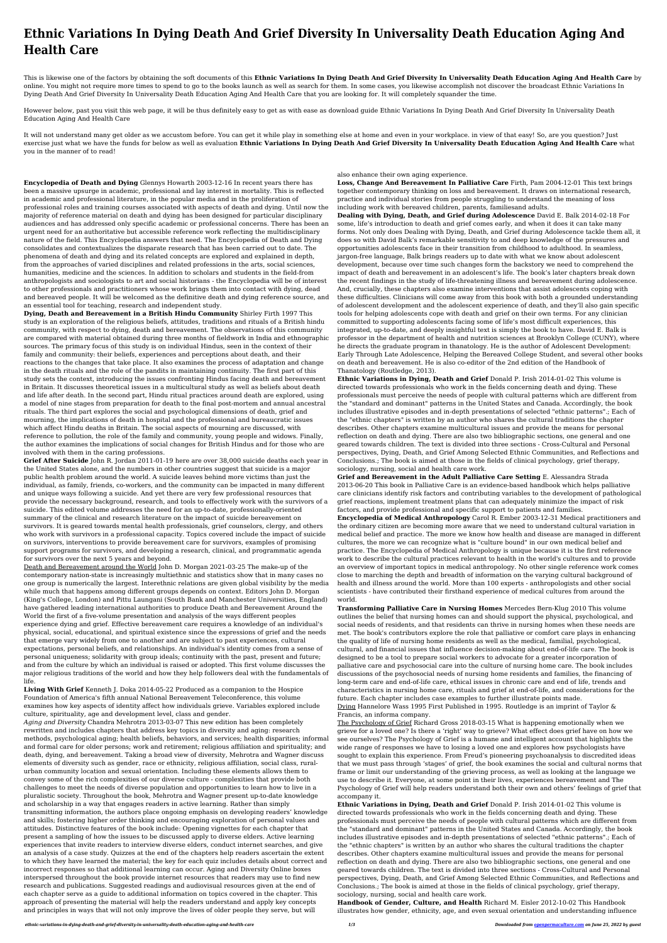## **Ethnic Variations In Dying Death And Grief Diversity In Universality Death Education Aging And Health Care**

This is likewise one of the factors by obtaining the soft documents of this **Ethnic Variations In Dying Death And Grief Diversity In Universality Death Education Aging And Health Care** by online. You might not require more times to spend to go to the books launch as well as search for them. In some cases, you likewise accomplish not discover the broadcast Ethnic Variations In Dying Death And Grief Diversity In Universality Death Education Aging And Health Care that you are looking for. It will completely squander the time.

However below, past you visit this web page, it will be thus definitely easy to get as with ease as download guide Ethnic Variations In Dying Death And Grief Diversity In Universality Death Education Aging And Health Care

It will not understand many get older as we accustom before. You can get it while play in something else at home and even in your workplace. in view of that easy! So, are you question? Just exercise just what we have the funds for below as well as evaluation **Ethnic Variations In Dying Death And Grief Diversity In Universality Death Education Aging And Health Care** what you in the manner of to read!

**Encyclopedia of Death and Dying** Glennys Howarth 2003-12-16 In recent years there has been a massive upsurge in academic, professional and lay interest in mortality. This is reflected in academic and professional literature, in the popular media and in the proliferation of professional roles and training courses associated with aspects of death and dying. Until now the majority of reference material on death and dying has been designed for particular disciplinary audiences and has addressed only specific academic or professional concerns. There has been an urgent need for an authoritative but accessible reference work reflecting the multidisciplinary nature of the field. This Encyclopedia answers that need. The Encyclopedia of Death and Dying consolidates and contextualizes the disparate research that has been carried out to date. The phenomena of death and dying and its related concepts are explored and explained in depth, from the approaches of varied disciplines and related professions in the arts, social sciences, humanities, medicine and the sciences. In addition to scholars and students in the field-from anthropologists and sociologists to art and social historians - the Encyclopedia will be of interest to other professionals and practitioners whose work brings them into contact with dying, dead and bereaved people. It will be welcomed as the definitive death and dying reference source, and an essential tool for teaching, research and independent study.

**Dying, Death and Bereavement in a British Hindu Community** Shirley Firth 1997 This study is an exploration of the religious beliefs, attitudes, traditions and rituals of a British hindu community, with respect to dying, death and bereavement. The observations of this community are compared with material obtained during three months of fieldwork in India and ethnographic sources. The primary focus of this study is on individual Hindus, seen in the context of their family and community: their beliefs, experiences and perceptions about death, and their reactions to the changes that take place. It also examines the process of adaptation and change in the death rituals and the role of the pandits in maintaining continuity. The first part of this study sets the context, introducing the issues confronting Hindus facing death and bereavement in Britain. It discusses theoretical issues in a multicultural study as well as beliefs about death and life after death. In the second part, Hindu ritual practices around death are explored, using a model of nine stages from preparation for death to the final post-mortem and annual ancestral rituals. The third part explores the social and psychological dimensions of death, grief and mourning, the implications of death in hospital and the professional and bureaucratic issues which affect Hindu deaths in Britain. The social aspects of mourning are discussed, with reference to pollution, the role of the family and community, young people and widows. Finally, the author examines the implications of social changes for British Hindus and for those who are involved with them in the caring professions.

**Grief After Suicide** John R. Jordan 2011-01-19 here are over 38,000 suicide deaths each year in the United States alone, and the numbers in other countries suggest that suicide is a major public health problem around the world. A suicide leaves behind more victims than just the individual, as family, friends, co-workers, and the community can be impacted in many different and unique ways following a suicide. And yet there are very few professional resources that provide the necessary background, research, and tools to effectively work with the survivors of a suicide. This edited volume addresses the need for an up-to-date, professionally-oriented summary of the clinical and research literature on the impact of suicide bereavement on survivors. It is geared towards mental health professionals, grief counselors, clergy, and others who work with survivors in a professional capacity. Topics covered include the impact of suicide on survivors, interventions to provide bereavement care for survivors, examples of promising support programs for survivors, and developing a research, clinical, and programmatic agenda for survivors over the next 5 years and beyond. Death and Bereavement around the World John D. Morgan 2021-03-25 The make-up of the contemporary nation-state is increasingly multiethnic and statistics show that in many cases no one group is numerically the largest. Interethnic relations are given global visibility by the media while much that happens among different groups depends on context. Editors John D. Morgan (King's College, London) and Pittu Laungani (South Bank and Manchester Universities, England) have gathered leading international authorities to produce Death and Bereavement Around the World the first of a five-volume presentation and analysis of the ways different peoples experience dying and grief. Effective bereavement care requires a knowledge of an individual's physical, social, educational, and spiritual existence since the expressions of grief and the needs that emerge vary widely from one to another and are subject to past experiences, cultural expectations, personal beliefs, and relationships. An individual's identity comes from a sense of personal uniqueness; solidarity with group ideals; continuity with the past, present and future; and from the culture by which an individual is raised or adopted. This first volume discusses the major religious traditions of the world and how they help followers deal with the fundamentals of life. **Living With Grief** Kenneth J. Doka 2014-05-22 Produced as a companion to the Hospice Foundation of America's fifth annual National Bereavement Teleconference, this volume examines how key aspects of identity affect how individuals grieve. Variables explored include culture, spirituality, age and development level, class and gender. *Aging and Diversity* Chandra Mehrotra 2013-03-07 This new edition has been completely rewritten and includes chapters that address key topics in diversity and aging: research methods, psychological aging; health beliefs, behaviors, and services; health disparities; informal and formal care for older persons; work and retirement; religious affiliation and spirituality; and death, dying, and bereavement. Taking a broad view of diversity, Mehrotra and Wagner discuss elements of diversity such as gender, race or ethnicity, religious affiliation, social class, ruralurban community location and sexual orientation. Including these elements allows them to convey some of the rich complexities of our diverse culture - complexities that provide both challenges to meet the needs of diverse population and opportunities to learn how to live in a pluralistic society. Throughout the book, Mehrotra and Wagner present up-to-date knowledge and scholarship in a way that engages readers in active learning. Rather than simply transmitting information, the authors place ongoing emphasis on developing readers' knowledge and skills; fostering higher order thinking and encouraging exploration of personal values and attitudes. Distinctive features of the book include: Opening vignettes for each chapter that present a sampling of how the issues to be discussed apply to diverse elders. Active learning experiences that invite readers to interview diverse elders, conduct internet searches, and give an analysis of a case study. Quizzes at the end of the chapters help readers ascertain the extent to which they have learned the material; the key for each quiz includes details about correct and incorrect responses so that additional learning can occur. Aging and Diversity Online boxes interspersed throughout the book provide internet resources that readers may use to find new research and publications. Suggested readings and audiovisual resources given at the end of each chapter serve as a guide to additional information on topics covered in the chapter. This approach of presenting the material will help the readers understand and apply key concepts and principles in ways that will not only improve the lives of older people they serve, but will

also enhance their own aging experience.

**Loss, Change And Bereavement In Palliative Care** Firth, Pam 2004-12-01 This text brings together contemporary thinking on loss and bereavement. It draws on international research, practice and individual stories from people struggling to understand the meaning of loss including work with bereaved children, parents, familiesand adults.

**Dealing with Dying, Death, and Grief during Adolescence** David E. Balk 2014-02-18 For some, life's introduction to death and grief comes early, and when it does it can take many forms. Not only does Dealing with Dying, Death, and Grief during Adolescence tackle them all, it does so with David Balk's remarkable sensitivity to and deep knowledge of the pressures and opportunities adolescents face in their transition from childhood to adulthood. In seamless, jargon-free language, Balk brings readers up to date with what we know about adolescent development, because over time such changes form the backstory we need to comprehend the impact of death and bereavement in an adolescent's life. The book's later chapters break down the recent findings in the study of life-threatening illness and bereavement during adolescence. And, crucially, these chapters also examine interventions that assist adolescents coping with these difficulties. Clinicians will come away from this book with both a grounded understanding of adolescent development and the adolescent experience of death, and they'll also gain specific tools for helping adolescents cope with death and grief on their own terms. For any clinician committed to supporting adolescents facing some of life's most difficult experiences, this integrated, up-to-date, and deeply insightful text is simply the book to have. David E. Balk is professor in the department of health and nutrition sciences at Brooklyn College (CUNY), where he directs the graduate program in thanatology. He is the author of Adolescent Development: Early Through Late Adolescence, Helping the Bereaved College Student, and several other books on death and bereavement. He is also co-editor of the 2nd edition of the Handbook of Thanatology (Routledge, 2013).

**Ethnic Variations in Dying, Death and Grief** Donald P. Irish 2014-01-02 This volume is directed towards professionals who work in the fields concerning death and dying. These professionals must perceive the needs of people with cultural patterns which are different from the "standard and dominant" patterns in the United States and Canada. Accordingly, the book includes illustrative episodes and in-depth presentations of selected "ethnic patterns".; Each of the "ethnic chapters" is written by an author who shares the cultural traditions the chapter describes. Other chapters examine multicultural issues and provide the means for personal reflection on death and dying. There are also two bibliographic sections, one general and one geared towards children. The text is divided into three sections - Cross-Cultural and Personal perspectives, Dying, Death, and Grief Among Selected Ethnic Communities, and Reflections and Conclusions.; The book is aimed at those in the fields of clinical psychology, grief therapy, sociology, nursing, social and health care work.

**Grief and Bereavement in the Adult Palliative Care Setting** E. Alessandra Strada 2013-06-20 This book in Palliative Care is an evidence-based handbook which helps palliative care clinicians identify risk factors and contributing variables to the development of pathological grief reactions, implement treatment plans that can adequately minimize the impact of risk factors, and provide professional and specific support to patients and families. **Encyclopedia of Medical Anthropology** Carol R. Ember 2003-12-31 Medical practitioners and the ordinary citizen are becoming more aware that we need to understand cultural variation in medical belief and practice. The more we know how health and disease are managed in different cultures, the more we can recognize what is "culture bound" in our own medical belief and practice. The Encyclopedia of Medical Anthropology is unique because it is the first reference work to describe the cultural practices relevant to health in the world's cultures and to provide an overview of important topics in medical anthropology. No other single reference work comes close to marching the depth and breadth of information on the varying cultural background of health and illness around the world. More than 100 experts - anthropologists and other social scientists - have contributed their firsthand experience of medical cultures from around the world. **Transforming Palliative Care in Nursing Homes** Mercedes Bern-Klug 2010 This volume outlines the belief that nursing homes can and should support the physical, psychological, and social needs of residents, and that residents can thrive in nursing homes when these needs are met. The book's contributors explore the role that palliative or comfort care plays in enhancing the quality of life of nursing home residents as well as the medical, familial, psychological, cultural, and financial issues that influence decision-making about end-of-life care. The book is designed to be a tool to prepare social workers to advocate for a greater incorporation of palliative care and psychosocial care into the culture of nursing home care. The book includes discussions of the psychosocial needs of nursing home residents and families, the financing of long-term care and end-of-life care, ethical issues in chronic care and end of life, trends and characteristics in nursing home care, rituals and grief at end-of-life, and considerations for the future. Each chapter includes case examples to further illustrate points made. Dying Hannelore Wass 1995 First Published in 1995. Routledge is an imprint of Taylor & Francis, an informa company. The Psychology of Grief Richard Gross 2018-03-15 What is happening emotionally when we grieve for a loved one? Is there a 'right' way to grieve? What effect does grief have on how we see ourselves? The Psychology of Grief is a humane and intelligent account that highlights the wide range of responses we have to losing a loved one and explores how psychologists have sought to explain this experience. From Freud's pioneering psychoanalysis to discredited ideas that we must pass through 'stages' of grief, the book examines the social and cultural norms that frame or limit our understanding of the grieving process, as well as looking at the language we use to describe it. Everyone, at some point in their lives, experiences bereavement and The Psychology of Grief will help readers understand both their own and others' feelings of grief that accompany it. **Ethnic Variations in Dying, Death and Grief** Donald P. Irish 2014-01-02 This volume is directed towards professionals who work in the fields concerning death and dying. These professionals must perceive the needs of people with cultural patterns which are different from the "standard and dominant" patterns in the United States and Canada. Accordingly, the book includes illustrative episodes and in-depth presentations of selected "ethnic patterns".; Each of the "ethnic chapters" is written by an author who shares the cultural traditions the chapter describes. Other chapters examine multicultural issues and provide the means for personal reflection on death and dying. There are also two bibliographic sections, one general and one geared towards children. The text is divided into three sections - Cross-Cultural and Personal perspectives, Dying, Death, and Grief Among Selected Ethnic Communities, and Reflections and Conclusions.; The book is aimed at those in the fields of clinical psychology, grief therapy, sociology, nursing, social and health care work. **Handbook of Gender, Culture, and Health** Richard M. Eisler 2012-10-02 This Handbook illustrates how gender, ethnicity, age, and even sexual orientation and understanding influence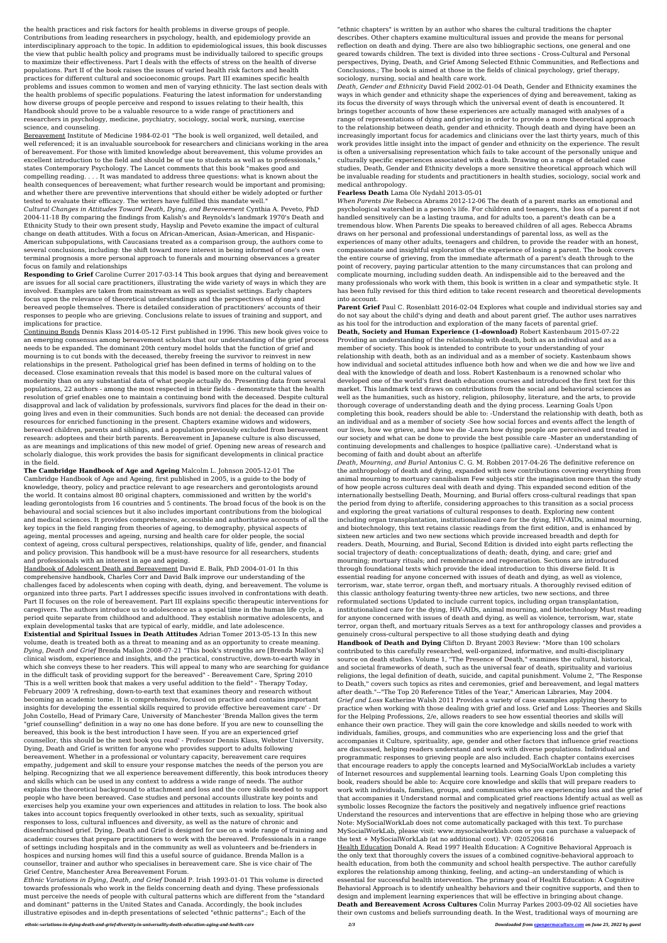the health practices and risk factors for health problems in diverse groups of people. Contributions from leading researchers in psychology, health, and epidemiology provide an interdisciplinary approach to the topic. In addition to epidemiological issues, this book discusses the view that public health policy and programs must be individually tailored to specific groups to maximize their effectiveness. Part I deals with the effects of stress on the health of diverse populations. Part II of the book raises the issues of varied health risk factors and health practices for different cultural and socioeconomic groups. Part III examines specific health problems and issues common to women and men of varying ethnicity. The last section deals with the health problems of specific populations. Featuring the latest information for understanding how diverse groups of people perceive and respond to issues relating to their health, this Handbook should prove to be a valuable resource to a wide range of practitioners and researchers in psychology, medicine, psychiatry, sociology, social work, nursing, exercise science, and counseling.

Bereavement Institute of Medicine 1984-02-01 "The book is well organized, well detailed, and well referenced; it is an invaluable sourcebook for researchers and clinicians working in the area of bereavement. For those with limited knowledge about bereavement, this volume provides an excellent introduction to the field and should be of use to students as well as to professionals," states Contemporary Psychology. The Lancet comments that this book "makes good and compelling reading. . . . It was mandated to address three questions: what is known about the health consequences of bereavement; what further research would be important and promising; and whether there are preventive interventions that should either be widely adopted or further tested to evaluate their efficacy. The writers have fulfilled this mandate well."

*Cultural Changes in Attitudes Toward Death, Dying, and Bereavement* Cynthia A. Peveto, PhD 2004-11-18 By comparing the findings from Kalish's and Reynolds's landmark 1970's Death and Ethnicity Study to their own present study, Hayslip and Peveto examine the impact of cultural change on death attitudes. With a focus on African-American, Asian-American, and Hispanic-American subpopulations, with Caucasians treated as a comparison group, the authors come to several conclusions, including: the shift toward more interest in being informed of one's own terminal prognosis a more personal approach to funerals and mourning observances a greater focus on family and relationships

**Responding to Grief** Caroline Currer 2017-03-14 This book argues that dying and bereavement are issues for all social care practitioners, illustrating the wide variety of ways in which they are involved. Examples are taken from mainstream as well as specialist settings. Early chapters focus upon the relevance of theoretical understandings and the perspectives of dying and bereaved people themselves. There is detailed consideration of practitioners' accounts of their responses to people who are grieving. Conclusions relate to issues of training and support, and implications for practice.

Continuing Bonds Dennis Klass 2014-05-12 First published in 1996. This new book gives voice to an emerging consensus among bereavement scholars that our understanding of the grief process needs to be expanded. The dominant 20th century model holds that the function of grief and mourning is to cut bonds with the deceased, thereby freeing the survivor to reinvest in new relationships in the present. Pathological grief has been defined in terms of holding on to the deceased. Close examination reveals that this model is based more on the cultural values of modernity than on any substantial data of what people actually do. Presenting data from several populations, 22 authors - among the most respected in their fields - demonstrate that the health resolution of grief enables one to maintain a continuing bond with the deceased. Despite cultural disapproval and lack of validation by professionals, survivors find places for the dead in their ongoing lives and even in their communities. Such bonds are not denial: the deceased can provide resources for enriched functioning in the present. Chapters examine widows and widowers, bereaved children, parents and siblings, and a population previously excluded from bereavement research: adoptees and their birth parents. Bereavement in Japanese culture is also discussed, as are meanings and implications of this new model of grief. Opening new areas of research and scholarly dialogue, this work provides the basis for significant developments in clinical practice in the field.

**The Cambridge Handbook of Age and Ageing** Malcolm L. Johnson 2005-12-01 The Cambridge Handbook of Age and Ageing, first published in 2005, is a guide to the body of knowledge, theory, policy and practice relevant to age researchers and gerontologists around the world. It contains almost 80 original chapters, commissioned and written by the world's leading gerontologists from 16 countries and 5 continents. The broad focus of the book is on the behavioural and social sciences but it also includes important contributions from the biological and medical sciences. It provides comprehensive, accessible and authoritative accounts of all the key topics in the field ranging from theories of ageing, to demography, physical aspects of ageing, mental processes and ageing, nursing and health care for older people, the social context of ageing, cross cultural perspectives, relationships, quality of life, gender, and financial and policy provision. This handbook will be a must-have resource for all researchers, students and professionals with an interest in age and ageing. Handbook of Adolescent Death and Bereavement David E. Balk, PhD 2004-01-01 In this comprehensive handbook, Charles Corr and David Balk improve our understanding of the challenges faced by adolescents when coping with death, dying, and bereavement. The volume is organized into three parts. Part I addresses specific issues involved in confrontations with death. Part II focuses on the role of bereavement. Part III explains specific therapeutic interventions for caregivers. The authors introduce us to adolescence as a special time in the human life cycle, a period quite separate from childhood and adulthood. They establish normative adolescents, and explain developmental tasks that are typical of early, middle, and late adolescence. **Existential and Spiritual Issues in Death Attitudes** Adrian Tomer 2013-05-13 In this new volume, death is treated both as a threat to meaning and as an opportunity to create meaning. *Dying, Death and Grief* Brenda Mallon 2008-07-21 "This book's strengths are [Brenda Mallon's] clinical wisdom, experience and insights, and the practical, constructive, down-to-earth way in which she conveys these to her readers. This will appeal to many who are searching for guidance in the difficult task of providing support for the bereaved" - Bereavement Care, Spring 2010 'This is a well written book that makes a very useful addition to the field" - Therapy Today, February 2009 'A refreshing, down-to-earth text that examines theory and research without becoming an academic tome. It is comprehensive, focused on practice and contains important insights for developing the essential skills required to provide effective bereavement care' - Dr John Costello, Head of Primary Care, University of Manchester 'Brenda Mallon gives the term "grief counselling" definition in a way no one has done before. If you are new to counselling the bereaved, this book is the best introduction I have seen. If you are an experienced grief counsellor, this should be the next book you read' - Professor Dennis Klass, Webster University, Dying, Death and Grief is written for anyone who provides support to adults following bereavement. Whether in a professional or voluntary capacity, bereavement care requires empathy, judgement and skill to ensure your response matches the needs of the person you are helping. Recognizing that we all experience bereavement differently, this book introduces theory and skills which can be used in any context to address a wide range of needs. The author explains the theoretical background to attachment and loss and the core skills needed to support people who have been bereaved. Case studies and personal accounts illustrate key points and exercises help you examine your own experiences and attitudes in relation to loss. The book also takes into account topics frequently overlooked in other texts, such as sexuality, spiritual responses to loss, cultural influences and diversity, as well as the nature of chronic and disenfranchised grief. Dying, Death and Grief is designed for use on a wide range of training and academic courses that prepare practitioners to work with the bereaved. Professionals in a range of settings including hospitals and in the community as well as volunteers and be-frienders in hospices and nursing homes will find this a useful source of guidance. Brenda Mallon is a counsellor, trainer and author who specialises in bereavement care. She is vice chair of The Grief Centre, Manchester Area Bereavement Forum.

**Parent Grief** Paul C. Rosenblatt 2016-02-04 Explores what couple and individual stories say and do not say about the child's dying and death and about parent grief. The author uses narratives as his tool for the introduction and exploration of the many facets of parental grief. **Death, Society and Human Experience (1-download)** Robert Kastenbaum 2015-07-22 Providing an understanding of the relationship with death, both as an individual and as a member of society. This book is intended to contribute to your understanding of your relationship with death, both as an individual and as a member of society. Kastenbaum shows how individual and societal attitudes influence both how and when we die and how we live and deal with the knowledge of death and loss. Robert Kastenbaum is a renowned scholar who developed one of the world's first death education courses and introduced the first text for this market. This landmark text draws on contributions from the social and behavioral sciences as well as the humanities, such as history, religion, philosophy, literature, and the arts, to provide thorough coverage of understanding death and the dying process. Learning Goals Upon completing this book, readers should be able to: -Understand the relationship with death, both as an individual and as a member of society -See how social forces and events affect the length of our lives, how we grieve, and how we die -Learn how dying people are perceived and treated in our society and what can be done to provide the best possible care -Master an understanding of continuing developments and challenges to hospice (palliative care). -Understand what is becoming of faith and doubt about an afterlife

*Ethnic Variations in Dying, Death, and Grief* Donald P. Irish 1993-01-01 This volume is directed towards professionals who work in the fields concerning death and dying. These professionals must perceive the needs of people with cultural patterns which are different from the "standard and dominant" patterns in the United States and Canada. Accordingly, the book includes illustrative episodes and in-depth presentations of selected "ethnic patterns".; Each of the

"ethnic chapters" is written by an author who shares the cultural traditions the chapter describes. Other chapters examine multicultural issues and provide the means for personal reflection on death and dying. There are also two bibliographic sections, one general and one geared towards children. The text is divided into three sections - Cross-Cultural and Personal perspectives, Dying, Death, and Grief Among Selected Ethnic Communities, and Reflections and Conclusions.; The book is aimed at those in the fields of clinical psychology, grief therapy, sociology, nursing, social and health care work.

*Death, Gender and Ethnicity* David Field 2002-01-04 Death, Gender and Ethnicity examines the ways in which gender and ethnicity shape the experiences of dying and bereavement, taking as its focus the diversity of ways through which the universal event of death is encountered. It brings together accounts of how these experiences are actually managed with analyses of a range of representations of dying and grieving in order to provide a more theoretical approach to the relationship between death, gender and ethnicity. Though death and dying have been an increasingly important focus for academics and clinicians over the last thirty years, much of this work provides little insight into the impact of gender and ethnicity on the experience. The result is often a universalising representation which fails to take account of the personally unique and culturally specific experiences associated with a death. Drawing on a range of detailed case studies, Death, Gender and Ethnicity develops a more sensitive theoretical approach which will be invaluable reading for students and practitioners in health studies, sociology, social work and medical anthropology.

## **Fearless Death** Lama Ole Nydahl 2013-05-01

*When Parents Die* Rebecca Abrams 2012-12-06 The death of a parent marks an emotional and psychological watershed in a person's life. For children and teenagers, the loss of a parent if not handled sensitively can be a lasting trauma, and for adults too, a parent's death can be a tremendous blow. When Parents Die speaks to bereaved children of all ages. Rebecca Abrams draws on her personal and professional understandings of parental loss, as well as the experiences of many other adults, teenagers and children, to provide the reader with an honest, compassionate and insightful exploration of the experience of losing a parent. The book covers the entire course of grieving, from the immediate aftermath of a parent's death through to the point of recovery, paying particular attention to the many circumstances that can prolong and complicate mourning, including sudden death. An indispensible aid to the bereaved and the many professionals who work with them, this book is written in a clear and sympathetic style. It has been fully revised for this third edition to take recent research and theoretical developments into account.

*Death, Mourning, and Burial* Antonius C. G. M. Robben 2017-04-26 The definitive reference on the anthropology of death and dying, expanded with new contributions covering everything from animal mourning to mortuary cannibalism Few subjects stir the imagination more than the study of how people across cultures deal with death and dying. This expanded second edition of the internationally bestselling Death, Mourning, and Burial offers cross-cultural readings that span the period from dying to afterlife, considering approaches to this transition as a social process and exploring the great variations of cultural responses to death. Exploring new content including organ transplantation, institutionalized care for the dying, HIV-AIDs, animal mourning, and biotechnology, this text retains classic readings from the first edition, and is enhanced by sixteen new articles and two new sections which provide increased breadth and depth for readers. Death, Mourning, and Burial, Second Edition is divided into eight parts reflecting the social trajectory of death: conceptualizations of death; death, dying, and care; grief and mourning; mortuary rituals; and remembrance and regeneration. Sections are introduced through foundational texts which provide the ideal introduction to this diverse field. It is essential reading for anyone concerned with issues of death and dying, as well as violence, terrorism, war, state terror, organ theft, and mortuary rituals. A thoroughly revised edition of this classic anthology featuring twenty-three new articles, two new sections, and three reformulated sections Updated to include current topics, including organ transplantation, institutionalized care for the dying, HIV-AIDs, animal mourning, and biotechnology Must reading for anyone concerned with issues of death and dying, as well as violence, terrorism, war, state terror, organ theft, and mortuary rituals Serves as a text for anthropology classes and provides a genuinely cross-cultural perspective to all those studying death and dying **Handbook of Death and Dying** Clifton D. Bryant 2003 Review: "More than 100 scholars contributed to this carefully researched, well-organized, informative, and multi-disciplinary source on death studies. Volume 1, "The Presence of Death," examines the cultural, historical, and societal frameworks of death, such as the universal fear of death, spirituality and varioius religions, the legal definition of death, suicide, and capital punishment. Volume 2, "The Response to Death," covers such topics as rites and ceremonies, grief and bereavement, and legal matters after death."--"The Top 20 Reference Titles of the Year," American Libraries, May 2004. *Grief and Loss* Katherine Walsh 2011 Provides a variety of case examples applying theory to practice when working with those dealing with grief and loss. Grief and Loss: Theories and Skills for the Helping Professions, 2/e, allows readers to see how essential theories and skills will enhance their own practice. They will gain the core knowledge and skills needed to work with individuals, families, groups, and communities who are experiencing loss and the grief that accompanies it Culture, spirituality, age, gender and other factors that influence grief reactions are discussed, helping readers understand and work with diverse populations. Individual and programmatic responses to grieving people are also included. Each chapter contains exercises that encourage readers to apply the concepts learned and MySocialWorkLab includes a variety of Internet resources and supplemental learning tools. Learning Goals Upon completing this book, readers should be able to: Acquire core knowledge and skills that will prepare readers to work with individuals, families, groups, and communities who are experiencing loss and the grief that accompanies it Understand normal and complicated grief reactions Identify actual as well as symbolic losses Recognize the factors the positively and negatively influence grief reactions Understand the resources and interventions that are effective in helping those who are grieving Note: MySocialWorkLab does not come automatically packaged with this text. To purchase MySocialWorkLab, please visit: www.mysocialworklab.com or you can purchase a valuepack of the text + MySocialWorkLab (at no additional cost). VP: 0205206816 Health Education Donald A. Read 1997 Health Education: A Cognitive Behavioral Approach is the only text that thoroughly covers the issues of a combined cognitive-behavioral approach to health education, from both the community and school health perspective. The author carefully explores the relationship among thinking, feeling, and acting--an understanding of which is essential for successful health intervention. The primary goal of Health Education: A Cognitive Behavioral Approach is to identify unhealthy behaviors and their cognitive supports, and then to design and implement learning experiences that will be effective in bringing about change. **Death and Bereavement Across Cultures** Colin Murray Parkes 2003-09-02 All societies have their own customs and beliefs surrounding death. In the West, traditional ways of mourning are